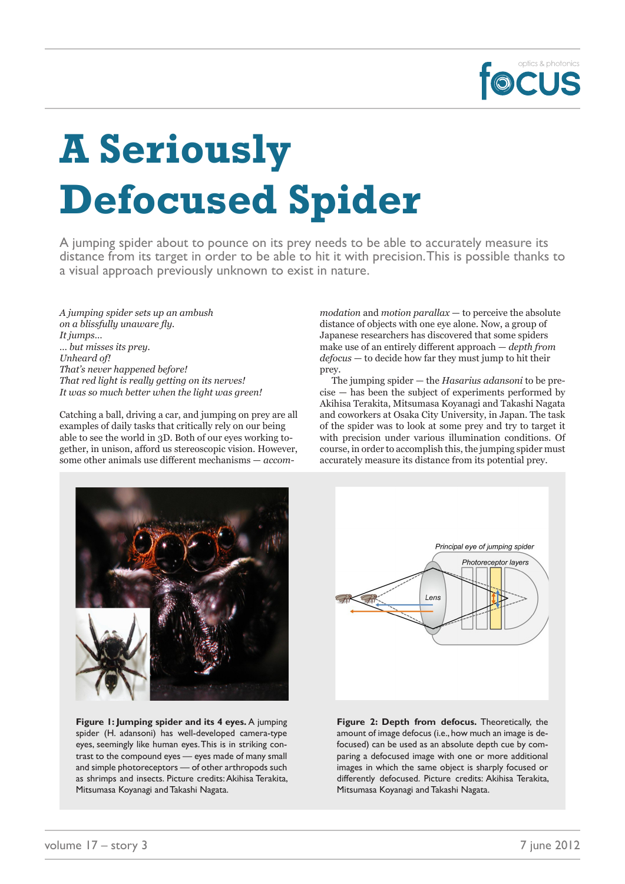

## **A Seriously Defocused Spider**

A jumping spider about to pounce on its prey needs to be able to accurately measure its distance from its target in order to be able to hit it with precision. This is possible thanks to a visual approach previously unknown to exist in nature.

*A jumping spider sets up an ambush on a blissfully unaware fly. It jumps… … but misses its prey. Unheard of! That's never happened before! That red light is really getting on its nerves! It was so much better when the light was green!* 

Catching a ball, driving a car, and jumping on prey are all examples of daily tasks that critically rely on our being able to see the world in 3D. Both of our eyes working together, in unison, afford us stereoscopic vision. However, some other animals use different mechanisms — *accom-* *modation* and *motion parallax* — to perceive the absolute distance of objects with one eye alone. Now, a group of Japanese researchers has discovered that some spiders make use of an entirely different approach — *depth from defocus* — to decide how far they must jump to hit their prey.

The jumping spider — the *Hasarius adansoni* to be precise — has been the subject of experiments performed by Akihisa Terakita, Mitsumasa Koyanagi and Takashi Nagata and coworkers at Osaka City University, in Japan. The task of the spider was to look at some prey and try to target it with precision under various illumination conditions. Of course, in order to accomplish this, the jumping spider must accurately measure its distance from its potential prey.



**Figure 1: Jumping spider and its 4 eyes.** A jumping spider (H. adansoni) has well-developed camera-type eyes, seemingly like human eyes. This is in striking contrast to the compound eyes — eyes made of many small and simple photoreceptors — of other arthropods such as shrimps and insects. Picture credits: Akihisa Terakita, Mitsumasa Koyanagi and Takashi Nagata.



**Figure 2: Depth from defocus.** Theoretically, the amount of image defocus (i.e., how much an image is defocused) can be used as an absolute depth cue by comparing a defocused image with one or more additional images in which the same object is sharply focused or differently defocused. Picture credits: Akihisa Terakita, Mitsumasa Koyanagi and Takashi Nagata.